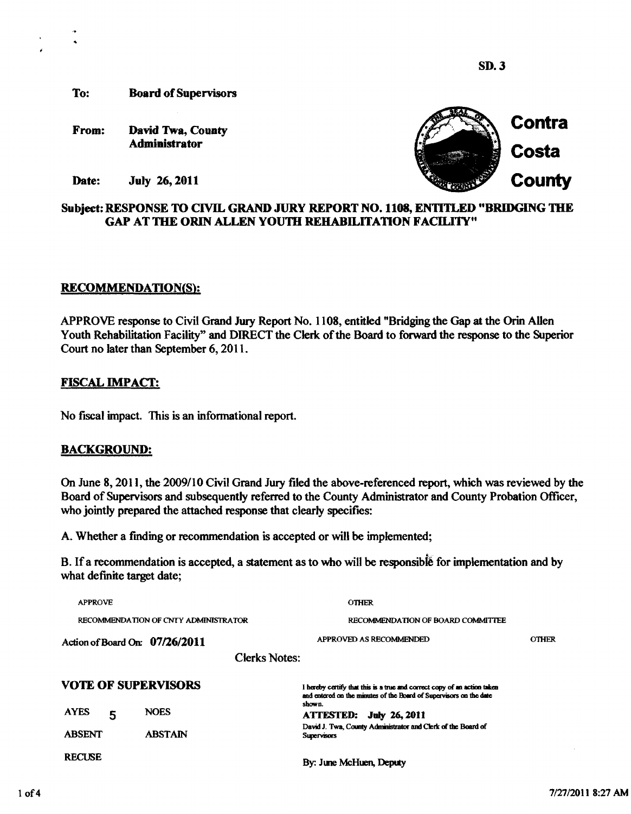**SD. 3** 

**To: Board of Supervisors** 

**From: David Twa, County Administrator** 



**Date: July** 26,2011

# **Subject: RESPONSE TO CIVIL GRAND JURY REPORT NO.** 1108, **ENTITLED "BRIDGING** THE **GAP AT THE ORIN ALLEN YOUTH REHABILITATION FACILITY"**

#### **RECOMMENDATION(S):**

APPROVE response to Civil Grand Jury Report No. 1108, entitled "Bridging the Gap at the **Orin** Allen Youth Rehabilitation Facility" and DIRECT the Clerk of the Board to forward the response to the Superior Court no later than September 6,201 1.

# **FISCAL IMPACT:**

No fiscal impact. This is an informational report.

# **BACKGROUND:**

On June 8,201 1, the 2009110 Civil Grand Jury filed the above-referenced report, which was reviewed by the Board of Supervisors and subsequently referred to the County Administrator and County Probation Officer, who jointly prepared the attached response that clearly specifies:

A. Whether a frnding or recommendation is accepted or will be implemented;

B. If a recommendation is accepted, a statement as to who will be responsible for implementation and by what definite target date;

| <b>APPROVE</b>                       |                      | <b>OTHER</b>                                                                                                                                   |              |
|--------------------------------------|----------------------|------------------------------------------------------------------------------------------------------------------------------------------------|--------------|
| RECOMMENDATION OF CNTY ADMINISTRATOR |                      | RECOMMENDATION OF BOARD COMMITTEE                                                                                                              |              |
| Action of Board On: $07/26/2011$     |                      | APPROVED AS RECOMMENDED                                                                                                                        | <b>OTHER</b> |
|                                      | <b>Clerks Notes:</b> |                                                                                                                                                |              |
| <b>VOTE OF SUPERVISORS</b>           |                      | I hereby certify that this is a true and correct copy of an action taken<br>and entered on the minutes of the Board of Supervisors on the date |              |
| <b>AYES</b><br>5                     | <b>NOES</b>          | shown.<br><b>ATTESTED:</b><br><b>July 26, 2011</b>                                                                                             |              |
| <b>ABSENT</b>                        | <b>ABSTAIN</b>       | David J. Twa, County Administrator and Clerk of the Board of<br><b>Supervisors</b>                                                             |              |
| <b>RECUSE</b>                        |                      | By: June McHuen, Deputy                                                                                                                        |              |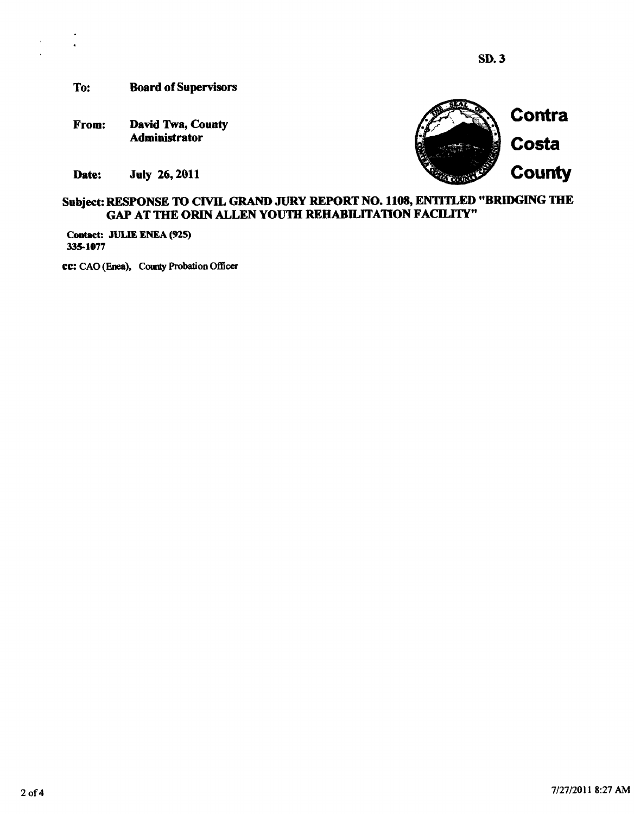**To: Board of Supervisors** 

**From: David Twa, County Administrator** 

Date: **July 26, 2011** 



# **Subject: RESPONSE TO CIVIL GRAND JURY REPORT NO. 1108, ENTITLED "BRIDGING THE GAP AT THE ORIN ALLEN YOUTH REHABILITATION FACILITY"**

**Contact: JULIE ENEA (925) 335-1077** 

**cc:** CAO (Enea), County Probation Officer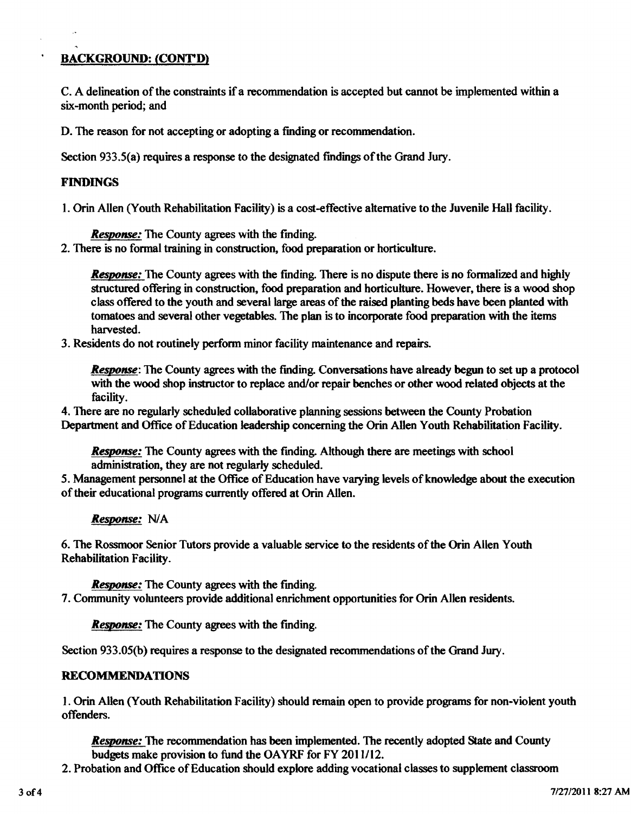# ' **BACKGROUND: (CONT'D)**

C. A delineation of the constraints if a recommendation is accepted but cannot be implemented **within** a six-month period; and

D. The reason for not accepting or adopting a fmding or recommendation.

Section 933.5(a) requires a response to the designated findings of the Grand Jury.

#### **FINDINGS**

1. Orin Allen (Youth Rehabilitation Facility) is a cost-effective alternative to the Juvenile Hall facility.

*Response:* The County agrees with the finding.

**2.** There **is** no formal training in construction, food preparation or horticulture.

*Response:* The County agrees with the finding. There is no dispute there is no formalized and highly structured offering in construction, food preparation and horticulture. However, there is a wood shop class offered to the youth and several large areas of the raised planting beds have been planted with tomatoes and several other vegetables. The plan is to incorporate food preparation with the items harvested.

3. Residents do not routinely perform minor facility maintenance and repairs.

**Response:** The County agrees with the finding. Conversations have already begun to set up a protocol with the wood shop instructor to replace and/or repair benches or other wood related objects at the facility.

4. There are no regularly scheduled collaborative planning sessions between the County Probation Department and Office of Education leadership concerning the **Orin** Allen Youth Rehabilitation Facility.

*Response:* The County agrees with the finding. Although there are meetings with school administration, they are not regularly scheduled.

5. Management personnel at the Office of Education have varying levels of knowledge about the execution of their educational programs currently offered at **Orin** Allen.

*Response:* NIA

6. The Rossmoor Senior Tutors provide a valuable service to the residents of the **Orhr** Allen Youth Rehabilitation Facility.

*Response:* The County agrees with the fmding.

7. Community volunteers provide additional enrichment opportunities for **Orin** Allen residents.

*Response:* The County agrees with the finding.

Section 933.05(b) requires a response to the designated recommendations of the Grand Jury.

#### **RECOMMENDATIONS**

**1. Orin** Allen (Youth Rehabilitation Facility) should remain open to provide programs for non-violent youth offenders.

*Respome:* The recommendation has been implemented. The recently adopted **State and** County budgets make provision to fund the OAYRF for FY 2011/12.

2. Probation and Office of Education should explore adding vocational classes to supplement classroom